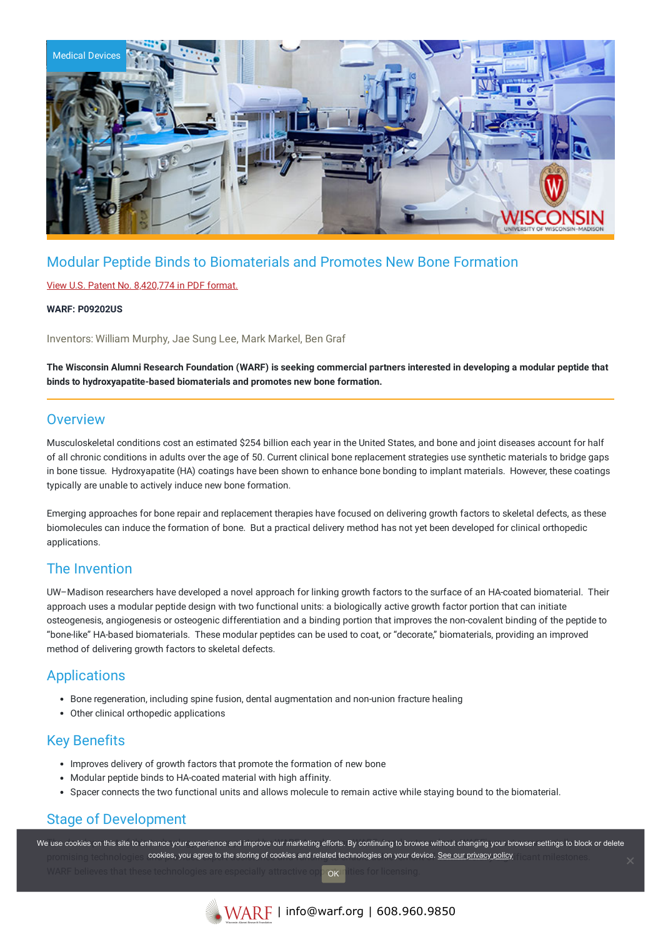

# Modular Peptide Binds to Biomaterials and Promotes New Bone Formation

### View U.S. Patent No. [8,420,774](https://www.warf.org/wp-content/uploads/technologies/ipstatus/P09202US.PDF) in PDF format.

#### **WARF: P09202US**

Inventors: William Murphy, Jae Sung Lee, Mark Markel, Ben Graf

The Wisconsin Alumni Research Foundation (WARF) is seeking commercial partners interested in developing a modular peptide that **binds to hydroxyapatite-based biomaterials and promotes new bone formation.**

### **Overview**

Musculoskeletal conditions cost an estimated \$254 billion each year in the United States, and bone and joint diseases account for half of all chronic conditions in adults over the age of 50. Current clinical bone replacement strategies use synthetic materials to bridge gaps in bone tissue. Hydroxyapatite (HA) coatings have been shown to enhance bone bonding to implant materials. However, these coatings typically are unable to actively induce new bone formation.

Emerging approaches for bone repair and replacement therapies have focused on delivering growth factors to skeletal defects, as these biomolecules can induce the formation of bone. But a practical delivery method has not yet been developed for clinical orthopedic applications.

## The Invention

UW–Madison researchers have developed a novel approach for linking growth factors to the surface of an HA-coated biomaterial. Their approach uses a modular peptide design with two functional units: a biologically active growth factor portion that can initiate osteogenesis, angiogenesis or osteogenic differentiation and a binding portion that improves the non-covalent binding of the peptide to "bone-like" HA-based biomaterials. These modular peptides can be used to coat, or "decorate," biomaterials, providing an improved method of delivering growth factors to skeletal defects.

### Applications

- Bone regeneration, including spine fusion, dental augmentation and non-union fracture healing
- Other clinical orthopedic applications

## Key Benefits

- Improves delivery of growth factors that promote the formation of new bone
- Modular peptide binds to HA-coated material with high affinity.
- Spacer connects the two functional units and allows molecule to remain active while staying bound to the biomaterial.

## Stage of Development

We use cookies on this site to enhance your experience and improve our marketing efforts. By continuing to browse without changing your browser settings to block or delete promising technologies **cookies, you agree to the storing of cookies and related technologies on your device. <u>See our privacy policy</u> firem milestones.** WARF believes that these technologies are especially attractive opportunities for licensing. OK